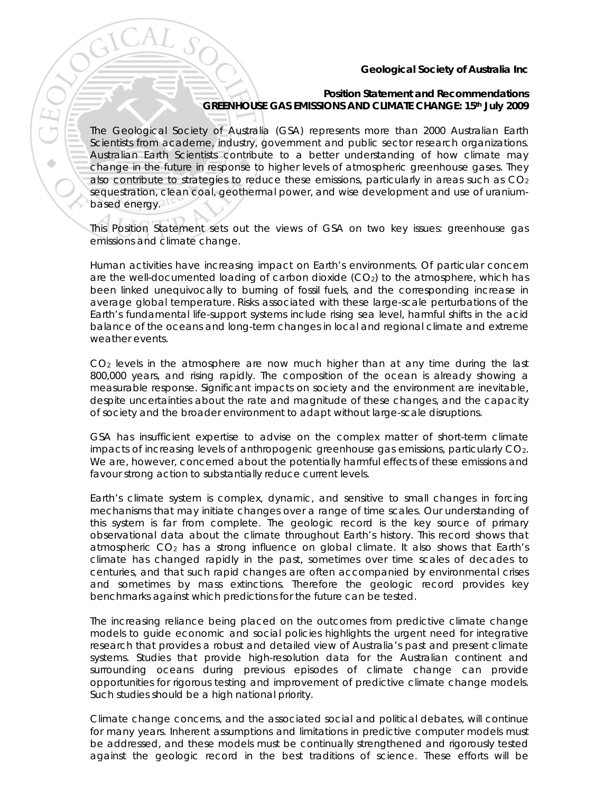## **Geological Society of Australia Inc**

## **Position Statement and Recommendations GREENHOUSE GAS EMISSIONS AND CLIMATE CHANGE: 15th July 2009**

The Geological Society of Australia (GSA) represents more than 2000 Australian Earth Scientists from academe, industry, government and public sector research organizations. Australian Earth Scientists contribute to a better understanding of how climate may change in the future in response to higher levels of atmospheric greenhouse gases. They also contribute to strategies to reduce these emissions, particularly in areas such as  $CO<sub>2</sub>$ sequestration, clean coal, geothermal power, and wise development and use of uraniumbased energy.

This Position Statement sets out the views of GSA on two key issues: greenhouse gas emissions and climate change.

Human activities have increasing impact on Earth's environments. Of particular concern are the well-documented loading of carbon dioxide  $(CO<sub>2</sub>)$  to the atmosphere, which has been linked unequivocally to burning of fossil fuels, and the corresponding increase in average global temperature. Risks associated with these large-scale perturbations of the Earth's fundamental life-support systems include rising sea level, harmful shifts in the acid balance of the oceans and long-term changes in local and regional climate and extreme weather events.

CO<sub>2</sub> levels in the atmosphere are now much higher than at any time during the last 800,000 years, and rising rapidly. The composition of the ocean is already showing a measurable response. Significant impacts on society and the environment are inevitable, despite uncertainties about the rate and magnitude of these changes, and the capacity of society and the broader environment to adapt without large-scale disruptions.

GSA has insufficient expertise to advise on the complex matter of short-term climate impacts of increasing levels of anthropogenic greenhouse gas emissions, particularly CO2. We are, however, concerned about the potentially harmful effects of these emissions and favour strong action to substantially reduce current levels.

Earth's climate system is complex, dynamic, and sensitive to small changes in forcing mechanisms that may initiate changes over a range of time scales. Our understanding of this system is far from complete. The geologic record is the key source of primary observational data about the climate throughout Earth's history. This record shows that atmospheric  $CO<sub>2</sub>$  has a strong influence on global climate. It also shows that Earth's climate has changed rapidly in the past, sometimes over time scales of decades to centuries, and that such rapid changes are often accompanied by environmental crises and sometimes by mass extinctions. Therefore the geologic record provides key benchmarks against which predictions for the future can be tested.

The increasing reliance being placed on the outcomes from predictive climate change models to guide economic and social policies highlights the urgent need for integrative research that provides a robust and detailed view of Australia's past and present climate systems. Studies that provide high-resolution data for the Australian continent and surrounding oceans during previous episodes of climate change can provide opportunities for rigorous testing and improvement of predictive climate change models. Such studies should be a high national priority.

Climate change concerns, and the associated social and political debates, will continue for many years. Inherent assumptions and limitations in predictive computer models must be addressed, and these models must be continually strengthened and rigorously tested against the geologic record in the best traditions of science. These efforts will be